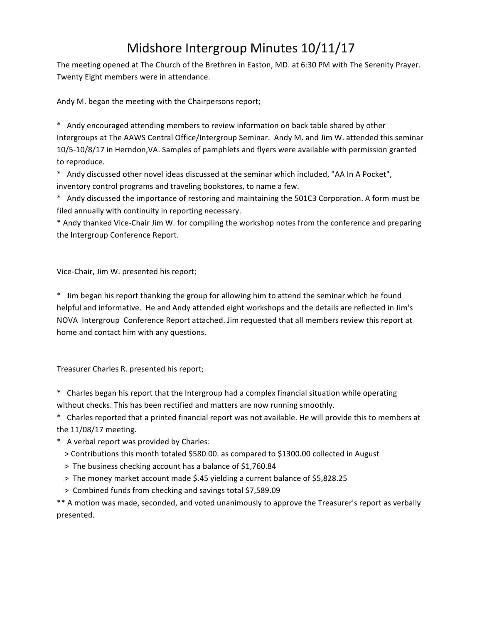# Midshore Intergroup Minutes 10/11/17

The meeting opened at The Church of the Brethren in Easton, MD. at 6:30 PM with The Serenity Prayer. Twenty Eight members were in attendance.

Andy M. began the meeting with the Chairpersons report;

\* Andy encouraged attending members to review information on back table shared by other Intergroups at The AAWS Central Office/Intergroup Seminar. Andy M. and Jim W. attended this seminar 10/5-10/8/17 in Herndon, VA. Samples of pamphlets and flyers were available with permission granted to reproduce.

\* Andy discussed other novel ideas discussed at the seminar which included, "AA In A Pocket", inventory control programs and traveling bookstores, to name a few.

\* Andy discussed the importance of restoring and maintaining the 501C3 Corporation. A form must be filed annually with continuity in reporting necessary.

\* Andy thanked Vice-Chair Jim W. for compiling the workshop notes from the conference and preparing the Intergroup Conference Report.

Vice-Chair, Jim W. presented his report;

\* Jim began his report thanking the group for allowing him to attend the seminar which he found helpful and informative. He and Andy attended eight workshops and the details are reflected in Jim's NOVA Intergroup Conference Report attached. Jim requested that all members review this report at home and contact him with any questions.

Treasurer Charles R. presented his report;

\* Charles began his report that the Intergroup had a complex financial situation while operating without checks. This has been rectified and matters are now running smoothly.

\* Charles reported that a printed financial report was not available. He will provide this to members at the  $11/08/17$  meeting.

- \* A verbal report was provided by Charles:
	- > Contributions this month totaled \$580.00. as compared to \$1300.00 collected in August
	- > The business checking account has a balance of \$1,760.84
	- > The money market account made \$.45 yielding a current balance of \$5,828.25
	- > Combined funds from checking and savings total \$7,589.09

\*\* A motion was made, seconded, and voted unanimously to approve the Treasurer's report as verbally presented.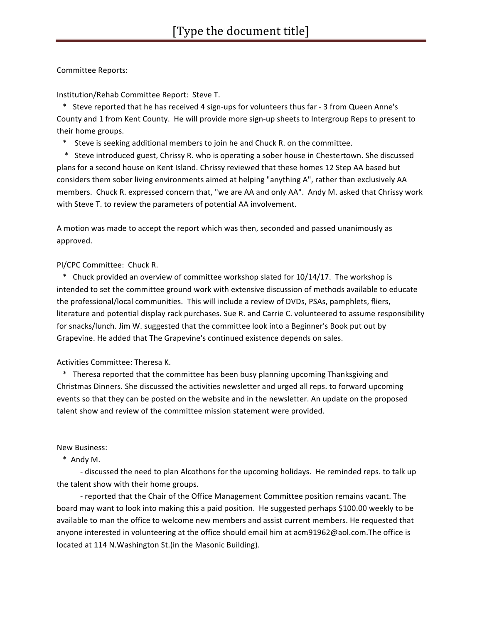Committee Reports:

Institution/Rehab Committee Report: Steve T.

\* Steve reported that he has received 4 sign-ups for volunteers thus far - 3 from Queen Anne's County and 1 from Kent County. He will provide more sign-up sheets to Intergroup Reps to present to their home groups.

\* Steve is seeking additional members to join he and Chuck R. on the committee.

\* Steve introduced guest, Chrissy R. who is operating a sober house in Chestertown. She discussed plans for a second house on Kent Island. Chrissy reviewed that these homes 12 Step AA based but considers them sober living environments aimed at helping "anything A", rather than exclusively AA members. Chuck R. expressed concern that, "we are AA and only AA". Andy M. asked that Chrissy work with Steve T. to review the parameters of potential AA involvement.

A motion was made to accept the report which was then, seconded and passed unanimously as approved.

### PI/CPC Committee: Chuck R.

\* Chuck provided an overview of committee workshop slated for 10/14/17. The workshop is intended to set the committee ground work with extensive discussion of methods available to educate the professional/local communities. This will include a review of DVDs, PSAs, pamphlets, fliers, literature and potential display rack purchases. Sue R. and Carrie C. volunteered to assume responsibility for snacks/lunch. Jim W. suggested that the committee look into a Beginner's Book put out by Grapevine. He added that The Grapevine's continued existence depends on sales.

## Activities Committee: Theresa K.

\* Theresa reported that the committee has been busy planning upcoming Thanksgiving and Christmas Dinners. She discussed the activities newsletter and urged all reps. to forward upcoming events so that they can be posted on the website and in the newsletter. An update on the proposed talent show and review of the committee mission statement were provided.

#### New Business:

 \* Andy M.

- discussed the need to plan Alcothons for the upcoming holidays. He reminded reps. to talk up the talent show with their home groups.

- reported that the Chair of the Office Management Committee position remains vacant. The board may want to look into making this a paid position. He suggested perhaps \$100.00 weekly to be available to man the office to welcome new members and assist current members. He requested that anyone interested in volunteering at the office should email him at acm91962@aol.com.The office is located at 114 N.Washington St.(in the Masonic Building).